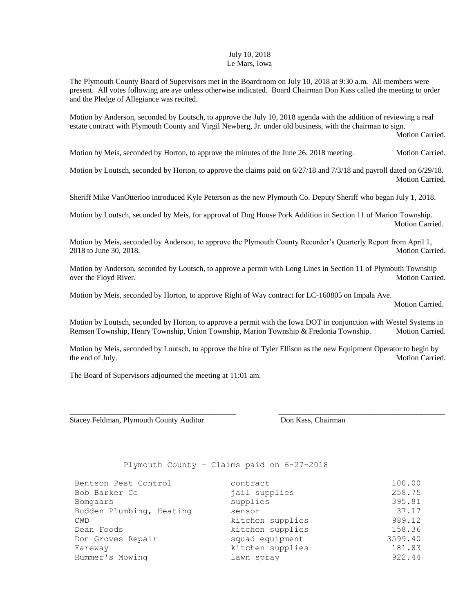## July 10, 2018 Le Mars, Iowa

The Plymouth County Board of Supervisors met in the Boardroom on July 10, 2018 at 9:30 a.m. All members were present. All votes following are aye unless otherwise indicated. Board Chairman Don Kass called the meeting to order and the Pledge of Allegiance was recited.

Motion by Anderson, seconded by Loutsch, to approve the July 10, 2018 agenda with the addition of reviewing a real estate contract with Plymouth County and Virgil Newberg, Jr. under old business, with the chairman to sign.

Motion Carried.

Motion by Meis, seconded by Horton, to approve the minutes of the June 26, 2018 meeting. Motion Carried.

Motion by Loutsch, seconded by Horton, to approve the claims paid on 6/27/18 and 7/3/18 and payroll dated on 6/29/18. Motion Carried.

Sheriff Mike VanOtterloo introduced Kyle Peterson as the new Plymouth Co. Deputy Sheriff who began July 1, 2018.

Motion by Loutsch, seconded by Meis, for approval of Dog House Pork Addition in Section 11 of Marion Township. Motion Carried.

Motion by Meis, seconded by Anderson, to approve the Plymouth County Recorder's Quarterly Report from April 1, 2018 to June 30, 2018. Motion Carried.

Motion by Anderson, seconded by Loutsch, to approve a permit with Long Lines in Section 11 of Plymouth Township over the Floyd River. Motion Carried. Motion Carried.

Motion by Meis, seconded by Horton, to approve Right of Way contract for LC-160805 on Impala Ave.

Motion Carried.

Motion by Loutsch, seconded by Horton, to approve a permit with the Iowa DOT in conjunction with Westel Systems in Remsen Township, Henry Township, Union Township, Marion Township & Fredonia Township. Motion Carried.

Motion by Meis, seconded by Loutsch, to approve the hire of Tyler Ellison as the new Equipment Operator to begin by the end of July. Motion Carried.

\_\_\_\_\_\_\_\_\_\_\_\_\_\_\_\_\_\_\_\_\_\_\_\_\_\_\_\_\_\_\_\_\_\_\_\_\_\_\_\_\_\_\_ \_\_\_\_\_\_\_\_\_\_\_\_\_\_\_\_\_\_\_\_\_\_\_\_\_\_\_\_\_\_\_\_\_\_\_\_\_\_\_\_\_\_\_

The Board of Supervisors adjourned the meeting at 11:01 am.

Stacey Feldman, Plymouth County Auditor Don Kass, Chairman

Plymouth County – Claims paid on 6-27-2018

| Bentson Pest Control     | contract         | 100.00  |
|--------------------------|------------------|---------|
| Bob Barker Co            | jail supplies    | 258.75  |
| Bomgaars                 | supplies         | 395.81  |
| Budden Plumbing, Heating | sensor           | 37.17   |
| <b>CWD</b>               | kitchen supplies | 989.12  |
| Dean Foods               | kitchen supplies | 158.36  |
| Don Groves Repair        | squad equipment  | 3599.40 |
| Fareway                  | kitchen supplies | 181.83  |
| Hummer's Mowing          | lawn spray       | 922.44  |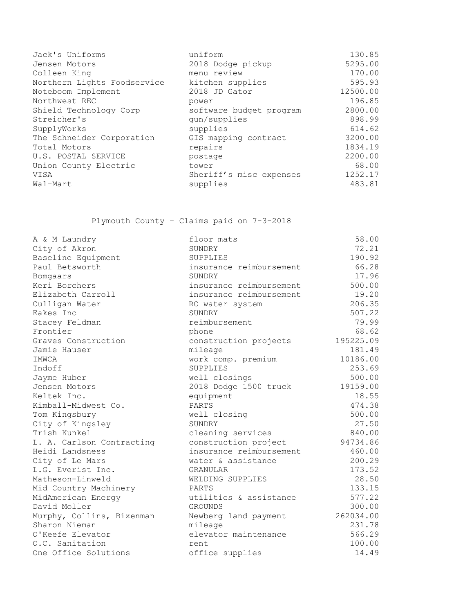| Jack's Uniforms             | uniform                 | 130.85   |
|-----------------------------|-------------------------|----------|
| Jensen Motors               | 2018 Dodge pickup       | 5295.00  |
| Colleen King                | menu review             | 170.00   |
| Northern Lights Foodservice | kitchen supplies        | 595.93   |
| Noteboom Implement          | 2018 JD Gator           | 12500.00 |
| Northwest REC               | power                   | 196.85   |
| Shield Technology Corp      | software budget program | 2800.00  |
| Streicher's                 | qun/supplies            | 898.99   |
| SupplyWorks                 | supplies                | 614.62   |
| The Schneider Corporation   | GIS mapping contract    | 3200.00  |
| Total Motors                | repairs                 | 1834.19  |
| U.S. POSTAL SERVICE         | postage                 | 2200.00  |
| Union County Electric       | tower                   | 68.00    |
| VISA                        | Sheriff's misc expenses | 1252.17  |
| Wal-Mart                    | supplies                | 483.81   |

Plymouth County – Claims paid on 7-3-2018

| A & M Laundry             | floor mats              | 58.00     |
|---------------------------|-------------------------|-----------|
| City of Akron             | SUNDRY                  | 72.21     |
| Baseline Equipment        | SUPPLIES                | 190.92    |
| Paul Betsworth            | insurance reimbursement | 66.28     |
| Bomgaars                  | SUNDRY                  | 17.96     |
| Keri Borchers             | insurance reimbursement | 500.00    |
| Elizabeth Carroll         | insurance reimbursement | 19.20     |
| Culligan Water            | RO water system         | 206.35    |
| Eakes Inc                 | SUNDRY                  | 507.22    |
| Stacey Feldman            | reimbursement           | 79.99     |
| Frontier                  | phone                   | 68.62     |
| Graves Construction       | construction projects   | 195225.09 |
| Jamie Hauser              | mileage                 | 181.49    |
| IMWCA                     | work comp. premium      | 10186.00  |
| Indoff                    | SUPPLIES                | 253.69    |
| Jayme Huber               | well closings           | 500.00    |
| Jensen Motors             | 2018 Dodge 1500 truck   | 19159.00  |
| Keltek Inc.               | equipment               | 18.55     |
| Kimball-Midwest Co.       | PARTS                   | 474.38    |
| Tom Kingsbury             | well closing            | 500.00    |
| City of Kingsley          | SUNDRY                  | 27.50     |
| Trish Kunkel              | cleaning services       | 840.00    |
| L. A. Carlson Contracting | construction project    | 94734.86  |
| Heidi Landsness           | insurance reimbursement | 460.00    |
| City of Le Mars           | water & assistance      | 200.29    |
| L.G. Everist Inc.         | GRANULAR                | 173.52    |
| Matheson-Linweld          | WELDING SUPPLIES        | 28.50     |
| Mid Country Machinery     | PARTS                   | 133.15    |
| MidAmerican Energy        | utilities & assistance  | 577.22    |
| David Moller              | <b>GROUNDS</b>          | 300.00    |
| Murphy, Collins, Bixenman | Newberg land payment    | 262034.00 |
| Sharon Nieman             | mileage                 | 231.78    |
| O'Keefe Elevator          | elevator maintenance    | 566.29    |
| O.C. Sanitation           | rent                    | 100.00    |
| One Office Solutions      | office supplies         | 14.49     |